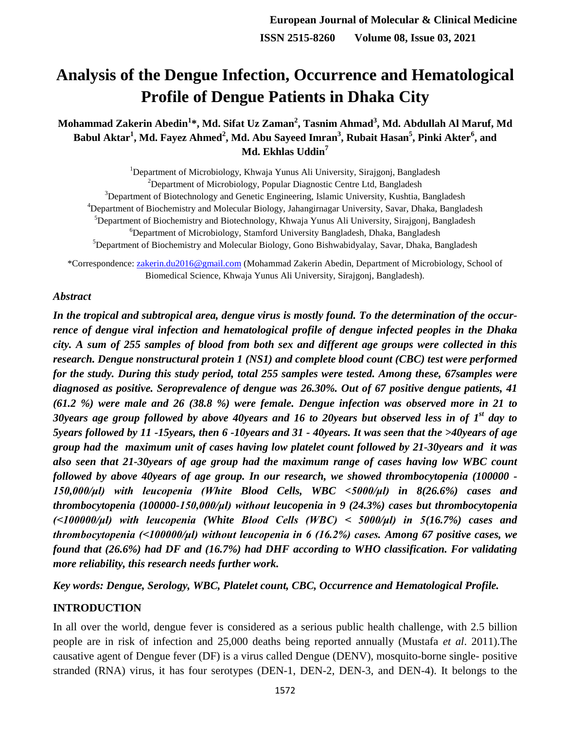# **Analysis of the Dengue Infection, Occurrence and Hematological Profile of Dengue Patients in Dhaka City**

**Mohammad Zakerin Abedin<sup>1</sup> \*, Md. Sifat Uz Zaman<sup>2</sup> , Tasnim Ahmad<sup>3</sup> , Md. Abdullah Al Maruf, Md Babul Aktar<sup>1</sup> , Md. Fayez Ahmed<sup>2</sup> , Md. Abu Sayeed Imran<sup>3</sup> , Rubait Hasan<sup>5</sup> , Pinki Akter<sup>6</sup> , and Md. Ekhlas Uddin<sup>7</sup>**

<sup>1</sup>Department of Microbiology, Khwaja Yunus Ali University, Sirajgonj, Bangladesh <sup>2</sup>Department of Microbiology, Popular Diagnostic Centre Ltd, Bangladesh <sup>3</sup>Department of Biotechnology and Genetic Engineering, Islamic University, Kushtia, Bangladesh <sup>4</sup>Department of Biochemistry and Molecular Biology, Jahangirnagar University, Savar, Dhaka, Bangladesh <sup>5</sup>Department of Biochemistry and Biotechnology, Khwaja Yunus Ali University, Sirajgonj, Bangladesh <sup>6</sup>Department of Microbiology, Stamford University Bangladesh, Dhaka, Bangladesh <sup>5</sup>Department of Biochemistry and Molecular Biology, Gono Bishwabidyalay, Savar, Dhaka, Bangladesh

\*Correspondence: [zakerin.du2016@gmail.com](mailto:zakerin.du2016@gmail.com) (Mohammad Zakerin Abedin, Department of Microbiology, School of Biomedical Science, Khwaja Yunus Ali University, Sirajgonj, Bangladesh).

#### *Abstract*

*In the tropical and subtropical area, dengue virus is mostly found. To the determination of the occurrence of dengue viral infection and hematological profile of dengue infected peoples in the Dhaka city. A sum of 255 samples of blood from both sex and different age groups were collected in this research. Dengue nonstructural protein 1 (NS1) and complete blood count (CBC) test were performed for the study. During this study period, total 255 samples were tested. Among these, 67samples were diagnosed as positive. Seroprevalence of dengue was 26.30%. Out of 67 positive dengue patients, 41 (61.2 %) were male and 26 (38.8 %) were female. Dengue infection was observed more in 21 to 30years age group followed by above 40years and 16 to 20years but observed less in of 1st day to 5years followed by 11 -15years, then 6 -10years and 31 - 40years. It was seen that the >40years of age group had the maximum unit of cases having low platelet count followed by 21-30years and it was also seen that 21-30years of age group had the maximum range of cases having low WBC count followed by above 40years of age group. In our research, we showed thrombocytopenia (100000 - 150,000/μl) with leucopenia (White Blood Cells, WBC <5000/μl) in 8(26.6%) cases and thrombocytopenia (100000-150,000/μl) without leucopenia in 9 (24.3%) cases but thrombocytopenia (<100000/μl) with leucopenia (White Blood Cells (WBC) < 5000/μl) in 5(16.7%) cases and thrombocytopenia (<100000/μl) without leucopenia in 6 (16.2%) cases. Among 67 positive cases, we found that (26.6%) had DF and (16.7%) had DHF according to WHO classification. For validating more reliability, this research needs further work.*

*Key words: Dengue, Serology, WBC, Platelet count, CBC, Occurrence and Hematological Profile.*

#### **INTRODUCTION**

In all over the world, dengue fever is considered as a serious public health challenge, with 2.5 billion people are in risk of infection and 25,000 deaths being reported annually (Mustafa *et al*. 2011).The causative agent of Dengue fever (DF) is a virus called Dengue (DENV), mosquito-borne single- positive stranded (RNA) virus, it has four serotypes (DEN-1, DEN-2, DEN-3, and DEN-4). It belongs to the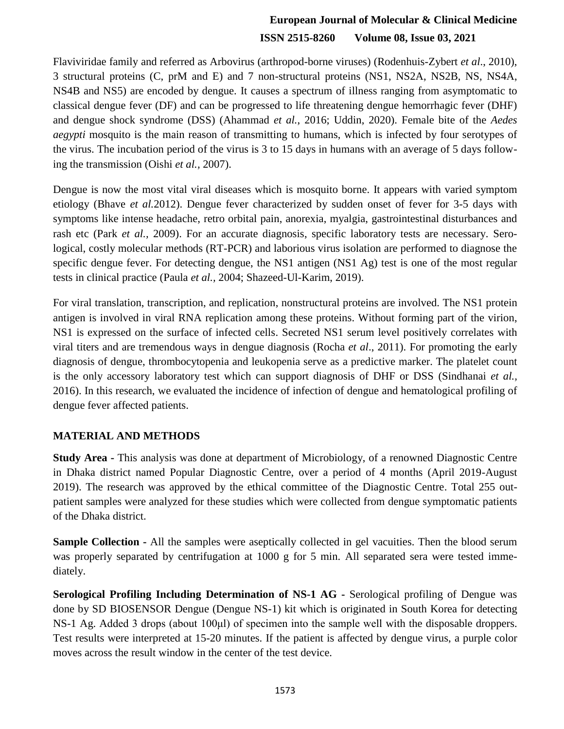Flaviviridae family and referred as Arbovirus (arthropod-borne viruses) (Rodenhuis-Zybert *et al*., 2010), 3 structural proteins (C, prM and E) and 7 non-structural proteins (NS1, NS2A, NS2B, NS, NS4A, NS4B and NS5) are encoded by dengue. It causes a spectrum of illness ranging from asymptomatic to classical dengue fever (DF) and can be progressed to life threatening dengue hemorrhagic fever (DHF) and dengue shock syndrome (DSS) (Ahammad *et al.*, 2016; Uddin, 2020). Female bite of the *Aedes aegypti* mosquito is the main reason of transmitting to humans, which is infected by four serotypes of the virus. The incubation period of the virus is 3 to 15 days in humans with an average of 5 days following the transmission (Oishi *et al.,* 2007).

Dengue is now the most vital viral diseases which is mosquito borne. It appears with varied symptom etiology (Bhave *et al.*2012). Dengue fever characterized by sudden onset of fever for 3-5 days with symptoms like intense headache, retro orbital pain, anorexia, myalgia, gastrointestinal disturbances and rash etc (Park *et al.,* 2009). For an accurate diagnosis, specific laboratory tests are necessary. Serological, costly molecular methods (RT-PCR) and laborious virus isolation are performed to diagnose the specific dengue fever. For detecting dengue, the NS1 antigen (NS1 Ag) test is one of the most regular tests in clinical practice (Paula *et al.,* 2004; Shazeed-Ul-Karim, 2019).

For viral translation, transcription, and replication, nonstructural proteins are involved. The NS1 protein antigen is involved in viral RNA replication among these proteins. Without forming part of the virion, NS1 is expressed on the surface of infected cells. Secreted NS1 serum level positively correlates with viral titers and are tremendous ways in dengue diagnosis (Rocha *et al*., 2011). For promoting the early diagnosis of dengue, thrombocytopenia and leukopenia serve as a predictive marker. The platelet count is the only accessory laboratory test which can support diagnosis of DHF or DSS (Sindhanai *et al.,*  2016). In this research, we evaluated the incidence of infection of dengue and hematological profiling of dengue fever affected patients.

#### **MATERIAL AND METHODS**

**Study Area -** This analysis was done at department of Microbiology, of a renowned Diagnostic Centre in Dhaka district named Popular Diagnostic Centre, over a period of 4 months (April 2019-August 2019). The research was approved by the ethical committee of the Diagnostic Centre. Total 255 outpatient samples were analyzed for these studies which were collected from dengue symptomatic patients of the Dhaka district.

**Sample Collection -** All the samples were aseptically collected in gel vacuities. Then the blood serum was properly separated by centrifugation at 1000 g for 5 min. All separated sera were tested immediately.

**Serological Profiling Including Determination of NS-1 AG -** Serological profiling of Dengue was done by SD BIOSENSOR Dengue (Dengue NS-1) kit which is originated in South Korea for detecting NS-1 Ag. Added 3 drops (about 100μl) of specimen into the sample well with the disposable droppers. Test results were interpreted at 15-20 minutes. If the patient is affected by dengue virus, a purple color moves across the result window in the center of the test device.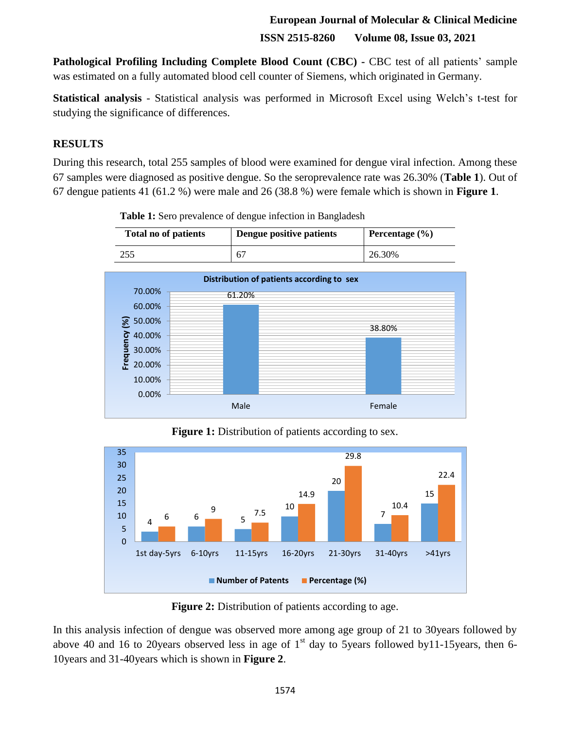**Pathological Profiling Including Complete Blood Count (CBC) -** CBC test of all patients' sample was estimated on a fully automated blood cell counter of Siemens, which originated in Germany.

**Statistical analysis** - Statistical analysis was performed in Microsoft Excel using Welch's t-test for studying the significance of differences.

#### **RESULTS**

During this research, total 255 samples of blood were examined for dengue viral infection. Among these 67 samples were diagnosed as positive dengue. So the seroprevalence rate was 26.30% (**Table 1**). Out of 67 dengue patients 41 (61.2 %) were male and 26 (38.8 %) were female which is shown in **Figure 1**.

**Table 1:** Sero prevalence of dengue infection in Bangladesh



 $$50.00\%$ **Frequency (%)** 38.80% **Frequency** 40.00% 30.00% 20.00% 10.00% 0.00% Male **Female** 

**Figure 1:** Distribution of patients according to sex.



**Figure 2:** Distribution of patients according to age.

In this analysis infection of dengue was observed more among age group of 21 to 30years followed by above 40 and 16 to 20 years observed less in age of  $1<sup>st</sup>$  day to 5 years followed by 11-15 years, then 6-10years and 31-40years which is shown in **Figure 2**.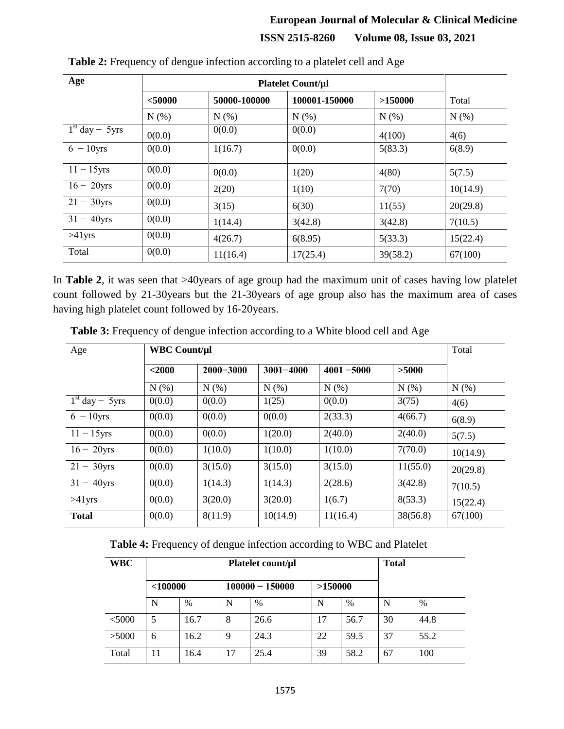| Age              |           |          |               |          |          |
|------------------|-----------|----------|---------------|----------|----------|
|                  | $<$ 50000 |          | 100001-150000 | >150000  | Total    |
|                  | N(% )     | N(% )    | N(% )         | N(% )    | $N(\%)$  |
| $1st$ day - 5yrs | 0(0.0)    | 0(0.0)   | 0(0.0)        | 4(100)   | 4(6)     |
| $6 - 10$ yrs     | 0(0.0)    | 1(16.7)  | 0(0.0)        | 5(83.3)  | 6(8.9)   |
| $11 - 15$ yrs    | 0(0.0)    | 0(0.0)   | 1(20)         | 4(80)    | 5(7.5)   |
| $16 - 20$ yrs    | 0(0.0)    | 2(20)    | 1(10)         | 7(70)    | 10(14.9) |
| $21 - 30$ yrs    | 0(0.0)    | 3(15)    | 6(30)         | 11(55)   | 20(29.8) |
| $31 - 40$ yrs    | 0(0.0)    | 1(14.4)  | 3(42.8)       | 3(42.8)  | 7(10.5)  |
| $>41$ yrs        | 0(0.0)    | 4(26.7)  | 6(8.95)       | 5(33.3)  | 15(22.4) |
| Total            | 0(0.0)    | 11(16.4) | 17(25.4)      | 39(58.2) | 67(100)  |

**Table 2:** Frequency of dengue infection according to a platelet cell and Age

In **Table 2**, it was seen that >40years of age group had the maximum unit of cases having low platelet count followed by 21-30years but the 21-30years of age group also has the maximum area of cases having high platelet count followed by 16-20years.

| Age              | <b>WBC Count/ul</b> |               |               |               |          | Total    |
|------------------|---------------------|---------------|---------------|---------------|----------|----------|
|                  | $2000$              | $2000 - 3000$ | $3001 - 4000$ | $4001 - 5000$ | >5000    |          |
|                  | N(% )               | N(% )         | N(% )         | N(% )         | N(% )    | N(% )    |
| $1st$ day - 5yrs | 0(0.0)              | 0(0.0)        | 1(25)         | 0(0.0)        | 3(75)    | 4(6)     |
| $6 - 10$ yrs     | 0(0.0)              | 0(0.0)        | 0(0.0)        | 2(33.3)       | 4(66.7)  | 6(8.9)   |
| $11 - 15$ yrs    | 0(0.0)              | 0(0.0)        | 1(20.0)       | 2(40.0)       | 2(40.0)  | 5(7.5)   |
| $16 - 20$ yrs    | 0(0.0)              | 1(10.0)       | 1(10.0)       | 1(10.0)       | 7(70.0)  | 10(14.9) |
| $21 - 30yrs$     | 0(0.0)              | 3(15.0)       | 3(15.0)       | 3(15.0)       | 11(55.0) | 20(29.8) |
| $31 - 40$ yrs    | 0(0.0)              | 1(14.3)       | 1(14.3)       | 2(28.6)       | 3(42.8)  | 7(10.5)  |
| $>41$ yrs        | 0(0.0)              | 3(20.0)       | 3(20.0)       | 1(6.7)        | 8(53.3)  | 15(22.4) |
| <b>Total</b>     | 0(0.0)              | 8(11.9)       | 10(14.9)      | 11(16.4)      | 38(56.8) | 67(100)  |

**Table 3:** Frequency of dengue infection according to a White blood cell and Age

**Table 4:** Frequency of dengue infection according to WBC and Platelet

| <b>WBC</b> | Platelet count/µl |      |                   |      |         |               | <b>Total</b> |      |
|------------|-------------------|------|-------------------|------|---------|---------------|--------------|------|
|            | $<$ 100000        |      | $100000 - 150000$ |      | >150000 |               |              |      |
|            | N                 | $\%$ | N                 | %    | N       | $\frac{0}{0}$ | N            | $\%$ |
| $<$ 5000   | 5                 | 16.7 | 8                 | 26.6 | 17      | 56.7          | 30           | 44.8 |
| >5000      | 6                 | 16.2 | 9                 | 24.3 | 22      | 59.5          | 37           | 55.2 |
| Total      | 11                | 16.4 | 17                | 25.4 | 39      | 58.2          | 67           | 100  |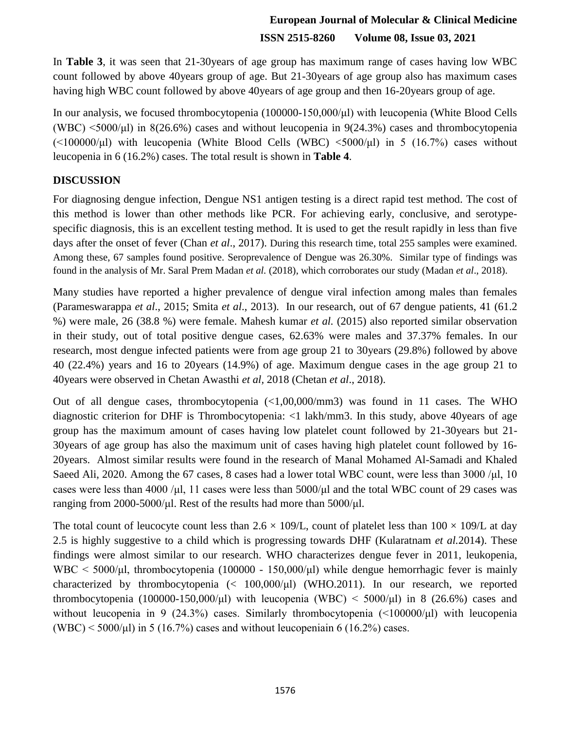In **Table 3**, it was seen that 21-30years of age group has maximum range of cases having low WBC count followed by above 40years group of age. But 21-30years of age group also has maximum cases having high WBC count followed by above 40years of age group and then 16-20years group of age.

In our analysis, we focused thrombocytopenia (100000-150,000/μl) with leucopenia (White Blood Cells (WBC)  $\leq$ 5000/µl) in 8(26.6%) cases and without leucopenia in 9(24.3%) cases and thrombocytopenia  $(\leq 100000/\mu l)$  with leucopenia (White Blood Cells (WBC)  $\leq 5000/\mu l$ ) in 5 (16.7%) cases without leucopenia in 6 (16.2%) cases. The total result is shown in **Table 4**.

#### **DISCUSSION**

For diagnosing dengue infection, Dengue NS1 antigen testing is a direct rapid test method. The cost of this method is lower than other methods like PCR. For achieving early, conclusive, and serotypespecific diagnosis, this is an excellent testing method. It is used to get the result rapidly in less than five days after the onset of fever (Chan *et al.*, 2017). During this research time, total 255 samples were examined. Among these, 67 samples found positive. Seroprevalence of Dengue was 26.30%. Similar type of findings was found in the analysis of Mr. Saral Prem Madan *et al.* (2018), which corroborates our study (Madan *et al*., 2018).

Many studies have reported a higher prevalence of dengue viral infection among males than females (Parameswarappa *et al*., 2015; Smita *et al*., 2013). In our research, out of 67 dengue patients, 41 (61.2 %) were male, 26 (38.8 %) were female. Mahesh kumar *et al.* (2015) also reported similar observation in their study, out of total positive dengue cases, 62.63% were males and 37.37% females. In our research, most dengue infected patients were from age group 21 to 30years (29.8%) followed by above 40 (22.4%) years and 16 to 20years (14.9%) of age. Maximum dengue cases in the age group 21 to 40years were observed in Chetan Awasthi *et al,* 2018 (Chetan *et al*., 2018).

Out of all dengue cases, thrombocytopenia (<1,00,000/mm3) was found in 11 cases. The WHO diagnostic criterion for DHF is Thrombocytopenia: <1 lakh/mm3. In this study, above 40years of age group has the maximum amount of cases having low platelet count followed by 21-30years but 21- 30years of age group has also the maximum unit of cases having high platelet count followed by 16- 20years. Almost similar results were found in the research of Manal Mohamed Al-Samadi and Khaled Saeed Ali, 2020. Among the 67 cases, 8 cases had a lower total WBC count, were less than 3000  $/\mu$ , 10 cases were less than 4000 /μl, 11 cases were less than  $5000/\mu$  and the total WBC count of 29 cases was ranging from 2000-5000/μl. Rest of the results had more than 5000/μl.

The total count of leucocyte count less than  $2.6 \times 109$ /L, count of platelet less than  $100 \times 109$ /L at day 2.5 is highly suggestive to a child which is progressing towards DHF (Kularatnam *et al.*2014). These findings were almost similar to our research. WHO characterizes dengue fever in 2011, leukopenia, WBC  $\leq$  5000/ $\mu$ l, thrombocytopenia (100000 - 150,000/ $\mu$ l) while dengue hemorrhagic fever is mainly characterized by thrombocytopenia (< 100,000/μl) (WHO.2011). In our research, we reported thrombocytopenia (100000-150,000/μl) with leucopenia (WBC)  $\leq 5000/\mu$ l) in 8 (26.6%) cases and without leucopenia in 9 (24.3%) cases. Similarly thrombocytopenia (<100000/μl) with leucopenia (WBC)  $\leq$  5000/µ) in 5 (16.7%) cases and without leucopeniain 6 (16.2%) cases.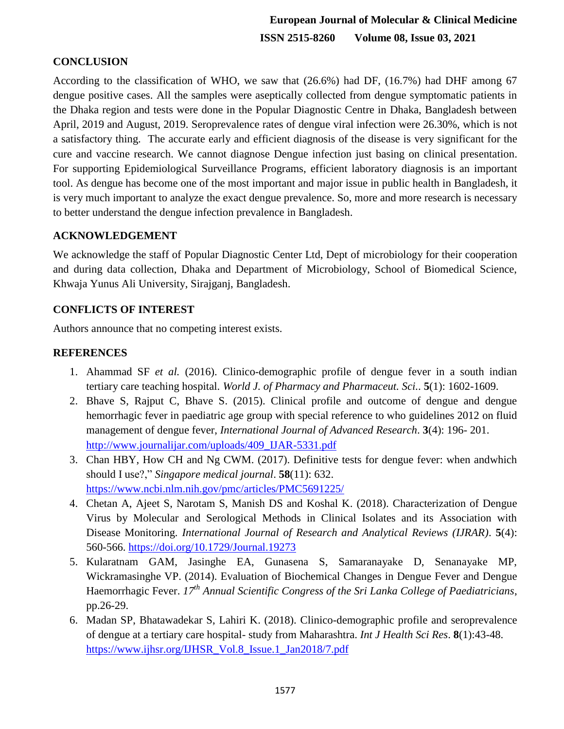### **CONCLUSION**

According to the classification of WHO, we saw that (26.6%) had DF, (16.7%) had DHF among 67 dengue positive cases. All the samples were aseptically collected from dengue symptomatic patients in the Dhaka region and tests were done in the Popular Diagnostic Centre in Dhaka, Bangladesh between April, 2019 and August, 2019. Seroprevalence rates of dengue viral infection were 26.30%, which is not a satisfactory thing. The accurate early and efficient diagnosis of the disease is very significant for the cure and vaccine research. We cannot diagnose Dengue infection just basing on clinical presentation. For supporting Epidemiological Surveillance Programs, efficient laboratory diagnosis is an important tool. As dengue has become one of the most important and major issue in public health in Bangladesh, it is very much important to analyze the exact dengue prevalence. So, more and more research is necessary to better understand the dengue infection prevalence in Bangladesh.

#### **ACKNOWLEDGEMENT**

We acknowledge the staff of Popular Diagnostic Center Ltd, Dept of microbiology for their cooperation and during data collection, Dhaka and Department of Microbiology, School of Biomedical Science, Khwaja Yunus Ali University, Sirajganj, Bangladesh.

#### **CONFLICTS OF INTEREST**

Authors announce that no competing interest exists.

#### **REFERENCES**

- 1. Ahammad SF *et al.* (2016). Clinico-demographic profile of dengue fever in a south indian tertiary care teaching hospital. *World J. of Pharmacy and Pharmaceut. Sci.*. **5**(1): 1602-1609.
- 2. Bhave S, Rajput C, Bhave S. (2015). Clinical profile and outcome of dengue and dengue hemorrhagic fever in paediatric age group with special reference to who guidelines 2012 on fluid management of dengue fever, *International Journal of Advanced Research*. **3**(4): 196- 201. [http://www.journalijar.com/uploads/409\\_IJAR-5331.pdf](http://www.journalijar.com/uploads/409_IJAR-5331.pdf)
- 3. Chan HBY, How CH and Ng CWM. (2017). Definitive tests for dengue fever: when andwhich should I use?," *Singapore medical journal*. **58**(11): 632. <https://www.ncbi.nlm.nih.gov/pmc/articles/PMC5691225/>
- 4. Chetan A, Ajeet S, Narotam S, Manish DS and Koshal K. (2018). Characterization of Dengue Virus by Molecular and Serological Methods in Clinical Isolates and its Association with Disease Monitoring. *International Journal of Research and Analytical Reviews (IJRAR)*. **5**(4): 560-566. <https://doi.org/10.1729/Journal.19273>
- 5. Kularatnam GAM, Jasinghe EA, Gunasena S, Samaranayake D, Senanayake MP, Wickramasinghe VP. (2014). Evaluation of Biochemical Changes in Dengue Fever and Dengue Haemorrhagic Fever. *17th Annual Scientific Congress of the Sri Lanka College of Paediatricians*, pp.26-29.
- 6. Madan SP, Bhatawadekar S, Lahiri K. (2018). Clinico-demographic profile and seroprevalence of dengue at a tertiary care hospital- study from Maharashtra. *Int J Health Sci Res*. **8**(1):43-48. [https://www.ijhsr.org/IJHSR\\_Vol.8\\_Issue.1\\_Jan2018/7.pdf](https://www.ijhsr.org/IJHSR_Vol.8_Issue.1_Jan2018/7.pdf)